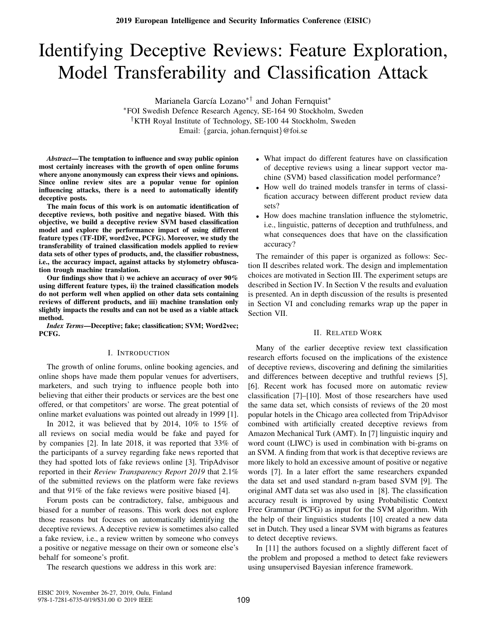# Identifying Deceptive Reviews: Feature Exploration, Model Transferability and Classification Attack

Marianela García Lozano<sup>∗†</sup> and Johan Fernquist<sup>\*</sup>

<sup>∗</sup>FOI Swedish Defence Research Agency, SE-164 90 Stockholm, Sweden †KTH Royal Institute of Technology, SE-100 44 Stockholm, Sweden Email: {garcia, johan.fernquist}@foi.se

*Abstract*—The temptation to influence and sway public opinion most certainly increases with the growth of open online forums where anyone anonymously can express their views and opinions. Since online review sites are a popular venue for opinion influencing attacks, there is a need to automatically identify deceptive posts.

The main focus of this work is on automatic identification of deceptive reviews, both positive and negative biased. With this objective, we build a deceptive review SVM based classification model and explore the performance impact of using different feature types (TF-IDF, word2vec, PCFG). Moreover, we study the transferability of trained classification models applied to review data sets of other types of products, and, the classifier robustness, i.e., the accuracy impact, against attacks by stylometry obfuscation trough machine translation.

Our findings show that i) we achieve an accuracy of over 90% using different feature types, ii) the trained classification models do not perform well when applied on other data sets containing reviews of different products, and iii) machine translation only slightly impacts the results and can not be used as a viable attack method.

*Index Terms*—Deceptive; fake; classification; SVM; Word2vec; PCFG.

# I. INTRODUCTION

The growth of online forums, online booking agencies, and online shops have made them popular venues for advertisers, marketers, and such trying to influence people both into believing that either their products or services are the best one offered, or that competitors' are worse. The great potential of online market evaluations was pointed out already in 1999 [1].

In 2012, it was believed that by 2014, 10% to 15% of all reviews on social media would be fake and payed for by companies [2]. In late 2018, it was reported that 33% of the participants of a survey regarding fake news reported that they had spotted lots of fake reviews online [3]. TripAdvisor reported in their *Review Transparency Report 2019* that 2.1% of the submitted reviews on the platform were fake reviews and that 91% of the fake reviews were positive biased [4].

Forum posts can be contradictory, false, ambiguous and biased for a number of reasons. This work does not explore those reasons but focuses on automatically identifying the deceptive reviews. A deceptive review is sometimes also called a fake review, i.e., a review written by someone who conveys a positive or negative message on their own or someone else's behalf for someone's profit.

The research questions we address in this work are:

- What impact do different features have on classification of deceptive reviews using a linear support vector machine (SVM) based classification model performance?
- How well do trained models transfer in terms of classification accuracy between different product review data sets?
- How does machine translation influence the stylometric, i.e., linguistic, patterns of deception and truthfulness, and what consequences does that have on the classification accuracy?

The remainder of this paper is organized as follows: Section II describes related work. The design and implementation choices are motivated in Section III. The experiment setups are described in Section IV. In Section V the results and evaluation is presented. An in depth discussion of the results is presented in Section VI and concluding remarks wrap up the paper in Section VII.

# II. RELATED WORK

Many of the earlier deceptive review text classification research efforts focused on the implications of the existence of deceptive reviews, discovering and defining the similarities and differences between deceptive and truthful reviews [5], [6]. Recent work has focused more on automatic review classification [7]–[10]. Most of those researchers have used the same data set, which consists of reviews of the 20 most popular hotels in the Chicago area collected from TripAdvisor combined with artificially created deceptive reviews from Amazon Mechanical Turk (AMT). In [7] linguistic inquiry and word count (LIWC) is used in combination with bi-grams on an SVM. A finding from that work is that deceptive reviews are more likely to hold an excessive amount of positive or negative words [7]. In a later effort the same researchers expanded the data set and used standard n-gram based SVM [9]. The original AMT data set was also used in [8]. The classification accuracy result is improved by using Probabilistic Context Free Grammar (PCFG) as input for the SVM algorithm. With the help of their linguistics students [10] created a new data set in Dutch. They used a linear SVM with bigrams as features to detect deceptive reviews.

In [11] the authors focused on a slightly different facet of the problem and proposed a method to detect fake reviewers using unsupervised Bayesian inference framework.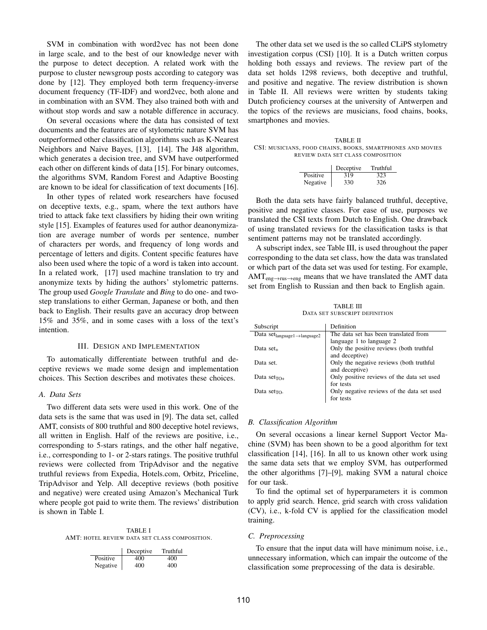SVM in combination with word2vec has not been done in large scale, and to the best of our knowledge never with the purpose to detect deception. A related work with the purpose to cluster newsgroup posts according to category was done by [12]. They employed both term frequency-inverse document frequency (TF-IDF) and word2vec, both alone and in combination with an SVM. They also trained both with and without stop words and saw a notable difference in accuracy.

On several occasions where the data has consisted of text documents and the features are of stylometric nature SVM has outperformed other classification algorithms such as K-Nearest Neighbors and Naive Bayes, [13], [14]. The J48 algorithm, which generates a decision tree, and SVM have outperformed each other on different kinds of data [15]. For binary outcomes, the algorithms SVM, Random Forest and Adaptive Boosting are known to be ideal for classification of text documents [16].

In other types of related work researchers have focused on deceptive texts, e.g., spam, where the text authors have tried to attack fake text classifiers by hiding their own writing style [15]. Examples of features used for author deanonymization are average number of words per sentence, number of characters per words, and frequency of long words and percentage of letters and digits. Content specific features have also been used where the topic of a word is taken into account. In a related work, [17] used machine translation to try and anonymize texts by hiding the authors' stylometric patterns. The group used *Google Translate* and *Bing* to do one- and twostep translations to either German, Japanese or both, and then back to English. Their results gave an accuracy drop between 15% and 35%, and in some cases with a loss of the text's intention.

## III. DESIGN AND IMPLEMENTATION

To automatically differentiate between truthful and deceptive reviews we made some design and implementation choices. This Section describes and motivates these choices.

## *A. Data Sets*

Two different data sets were used in this work. One of the data sets is the same that was used in [9]. The data set, called AMT, consists of 800 truthful and 800 deceptive hotel reviews, all written in English. Half of the reviews are positive, i.e., corresponding to 5-stars ratings, and the other half negative, i.e., corresponding to 1- or 2-stars ratings. The positive truthful reviews were collected from TripAdvisor and the negative truthful reviews from Expedia, Hotels.com, Orbitz, Priceline, TripAdvisor and Yelp. All deceptive reviews (both positive and negative) were created using Amazon's Mechanical Turk where people got paid to write them. The reviews' distribution is shown in Table I.

TABLE I AMT: HOTEL REVIEW DATA SET CLASS COMPOSITION.

|          | Deceptive | Truthful |
|----------|-----------|----------|
| Positive | 400       | 400      |
| Negative | 400       | 400      |

The other data set we used is the so called CLiPS stylometry investigation corpus (CSI) [10]. It is a Dutch written corpus holding both essays and reviews. The review part of the data set holds 1298 reviews, both deceptive and truthful, and positive and negative. The review distribution is shown in Table II. All reviews were written by students taking Dutch proficiency courses at the university of Antwerpen and the topics of the reviews are musicians, food chains, books, smartphones and movies.

TABLE II CSI: MUSICIANS, FOOD CHAINS, BOOKS, SMARTPHONES AND MOVIES REVIEW DATA SET CLASS COMPOSITION

|          | Deceptive | Truthful |
|----------|-----------|----------|
| Positive | 319       | 323      |
| Negative | 330       | 326      |

Both the data sets have fairly balanced truthful, deceptive, positive and negative classes. For ease of use, purposes we translated the CSI texts from Dutch to English. One drawback of using translated reviews for the classification tasks is that sentiment patterns may not be translated accordingly.

A subscript index, see Table III, is used throughout the paper corresponding to the data set class, how the data was translated or which part of the data set was used for testing. For example, AMT<sub>eng→rus→eng</sub> means that we have translated the AMT data set from English to Russian and then back to English again.

TABLE III DATA SET SUBSCRIPT DEFINITION

| Subscript                                    | Definition                                 |
|----------------------------------------------|--------------------------------------------|
| Data $set_{language1 \rightarrow language2}$ | The data set has been translated from      |
|                                              | language 1 to language 2                   |
| Data set <sub>+</sub>                        | Only the positive reviews (both truthful   |
|                                              | and deceptive)                             |
| Data set                                     | Only the negative reviews (both truthful   |
|                                              | and deceptive)                             |
| Data set $\tau$ <sub>0+</sub>                | Only positive reviews of the data set used |
|                                              | for tests                                  |
| Data set $\tau$ .                            | Only negative reviews of the data set used |
|                                              | for tests                                  |

#### *B. Classification Algorithm*

On several occasions a linear kernel Support Vector Machine (SVM) has been shown to be a good algorithm for text classification [14], [16]. In all to us known other work using the same data sets that we employ SVM, has outperformed the other algorithms [7]–[9], making SVM a natural choice for our task.

To find the optimal set of hyperparameters it is common to apply grid search. Hence, grid search with cross validation (CV), i.e., k-fold CV is applied for the classification model training.

#### *C. Preprocessing*

To ensure that the input data will have minimum noise, i.e., unnecessary information, which can impair the outcome of the classification some preprocessing of the data is desirable.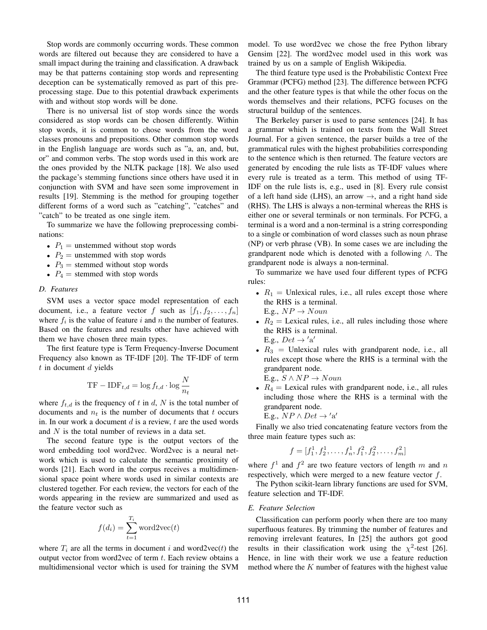Stop words are commonly occurring words. These common words are filtered out because they are considered to have a small impact during the training and classification. A drawback may be that patterns containing stop words and representing deception can be systematically removed as part of this preprocessing stage. Due to this potential drawback experiments with and without stop words will be done.

There is no universal list of stop words since the words considered as stop words can be chosen differently. Within stop words, it is common to chose words from the word classes pronouns and prepositions. Other common stop words in the English language are words such as "a, an, and, but, or" and common verbs. The stop words used in this work are the ones provided by the NLTK package [18]. We also used the package's stemming functions since others have used it in conjunction with SVM and have seen some improvement in results [19]. Stemming is the method for grouping together different forms of a word such as "catching", "catches" and "catch" to be treated as one single item.

To summarize we have the following preprocessing combinations:

- $P_1$  = unstemmed without stop words
- $P_2$  = unstemmed with stop words
- $P_3$  = stemmed without stop words
- $P_4$  = stemmed with stop words

## *D. Features*

SVM uses a vector space model representation of each document, i.e., a feature vector f such as  $[f_1, f_2, \ldots, f_n]$ where  $f_i$  is the value of feature i and n the number of features. Based on the features and results other have achieved with them we have chosen three main types.

The first feature type is Term Frequency-Inverse Document Frequency also known as TF-IDF [20]. The TF-IDF of term  $t$  in document  $d$  yields

$$
TF - IDF_{t,d} = \log f_{t,d} \cdot \log \frac{N}{n_t}
$$

where  $f_{t,d}$  is the frequency of t in d, N is the total number of documents and  $n_t$  is the number of documents that t occurs in. In our work a document  $d$  is a review,  $t$  are the used words and  $N$  is the total number of reviews in a data set.

The second feature type is the output vectors of the word embedding tool word2vec. Word2vec is a neural network which is used to calculate the semantic proximity of words [21]. Each word in the corpus receives a multidimensional space point where words used in similar contexts are clustered together. For each review, the vectors for each of the words appearing in the review are summarized and used as the feature vector such as

$$
f(d_i) = \sum_{t=1}^{T_i} \text{word2vec}(t)
$$

where  $T_i$  are all the terms in document i and word2vec(t) the output vector from word2vec of term  $t$ . Each review obtains a multidimensional vector which is used for training the SVM model. To use word2vec we chose the free Python library Gensim [22]. The word2vec model used in this work was trained by us on a sample of English Wikipedia.

The third feature type used is the Probabilistic Context Free Grammar (PCFG) method [23]. The difference between PCFG and the other feature types is that while the other focus on the words themselves and their relations, PCFG focuses on the structural buildup of the sentences.

The Berkeley parser is used to parse sentences [24]. It has a grammar which is trained on texts from the Wall Street Journal. For a given sentence, the parser builds a tree of the grammatical rules with the highest probabilities corresponding to the sentence which is then returned. The feature vectors are generated by encoding the rule lists as TF-IDF values where every rule is treated as a term. This method of using TF-IDF on the rule lists is, e.g., used in [8]. Every rule consist of a left hand side (LHS), an arrow  $\rightarrow$ , and a right hand side (RHS). The LHS is always a non-terminal whereas the RHS is either one or several terminals or non terminals. For PCFG, a terminal is a word and a non-terminal is a string corresponding to a single or combination of word classes such as noun phrase (NP) or verb phrase (VB). In some cases we are including the grandparent node which is denoted with a following ∧. The grandparent node is always a non-terminal.

To summarize we have used four different types of PCFG rules:

- $R_1$  = Unlexical rules, i.e., all rules except those where the RHS is a terminal. E.g.,  $NP \rightarrow Noun$
- $R_2$  = Lexical rules, i.e., all rules including those where the RHS is a terminal. E.g.,  $Det \rightarrow 'a'$
- $R_3$  = Unlexical rules with grandparent node, i.e., all rules except those where the RHS is a terminal with the grandparent node.

E.g.,  $S \wedge NP \rightarrow Noun$ 

•  $R_4$  = Lexical rules with grandparent node, i.e., all rules including those where the RHS is a terminal with the grandparent node.

E.g.,  $NP \wedge Det \rightarrow 'a'$ 

Finally we also tried concatenating feature vectors from the three main feature types such as:

$$
f = [f_1^1, f_2^1, \dots, f_n^1, f_1^2, f_2^2, \dots, f_m^2]
$$

where  $f^1$  and  $f^2$  are two feature vectors of length m and n respectively, which were merged to a new feature vector  $f$ .

The Python scikit-learn library functions are used for SVM, feature selection and TF-IDF.

## *E. Feature Selection*

Classification can perform poorly when there are too many superfluous features. By trimming the number of features and removing irrelevant features, In [25] the authors got good results in their classification work using the  $\chi^2$ -test [26]. Hence, in line with their work we use a feature reduction method where the  $K$  number of features with the highest value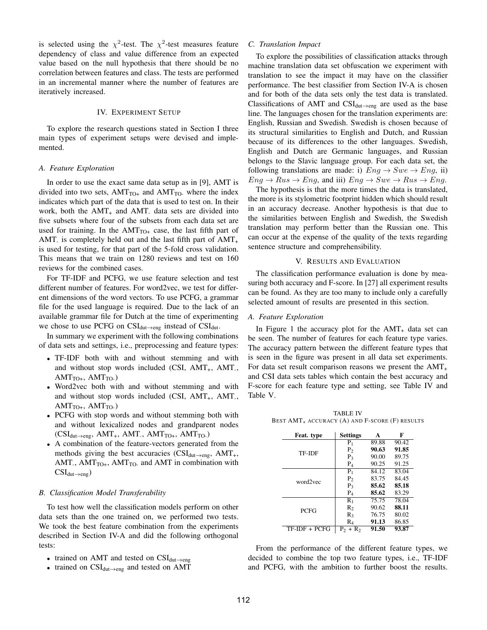is selected using the  $\chi^2$ -test. The  $\chi^2$ -test measures feature dependency of class and value difference from an expected value based on the null hypothesis that there should be no correlation between features and class. The tests are performed in an incremental manner where the number of features are iteratively increased.

#### IV. EXPERIMENT SETUP

To explore the research questions stated in Section I three main types of experiment setups were devised and implemented.

#### *A. Feature Exploration*

In order to use the exact same data setup as in [9], AMT is divided into two sets,  $AMT_{TO+}$  and  $AMT_{TO-}$  where the index indicates which part of the data that is used to test on. In their work, both the  $AMT_+$  and  $AMT_-$  data sets are divided into five subsets where four of the subsets from each data set are used for training. In the  $AMT<sub>TO+</sub>$  case, the last fifth part of AMT<sub>-</sub> is completely held out and the last fifth part of  $AMT_+$ is used for testing, for that part of the 5-fold cross validation. This means that we train on 1280 reviews and test on 160 reviews for the combined cases.

For TF-IDF and PCFG, we use feature selection and test different number of features. For word2vec, we test for different dimensions of the word vectors. To use PCFG, a grammar file for the used language is required. Due to the lack of an available grammar file for Dutch at the time of experimenting we chose to use PCFG on  $CSI_{\text{dut}\rightarrow\text{eng}}$  instead of  $CSI_{\text{dut}}$ .

In summary we experiment with the following combinations of data sets and settings, i.e., preprocessing and feature types:

- TF-IDF both with and without stemming and with and without stop words included (CSI, AMT<sub>+</sub>, AMT<sub>-</sub>,  $AMT<sub>TO+</sub>, AMT<sub>TO-</sub>)$
- Word2vec both with and without stemming and with and without stop words included (CSI, AMT<sub>+</sub>, AMT<sub>-</sub>,  $AMT<sub>TO+</sub>, AMT<sub>TO-</sub>)$
- PCFG with stop words and without stemming both with and without lexicalized nodes and grandparent nodes  $(CSI_{dut\rightarrow eng}, AMT_{+}, AMT_{-}, AMT_{TO^{+}}, AMT_{TO^{-}})$
- A combination of the feature-vectors generated from the methods giving the best accuracies ( $CSI_{\text{dut}\rightarrow\text{eng}}$ , AMT<sub>+</sub>, AMT<sub>-</sub>, AMT<sub>TO+</sub>, AMT<sub>TO-</sub> and AMT in combination with  $CSI_{dut\rightarrow eng}$ )

#### *B. Classification Model Transferability*

To test how well the classification models perform on other data sets than the one trained on, we performed two tests. We took the best feature combination from the experiments described in Section IV-A and did the following orthogonal tests:

- trained on AMT and tested on  $CSI_{\text{dut}\rightarrow\text{eng}}$
- trained on  $CSI_{\text{dut}\rightarrow\text{eng}}$  and tested on AMT

### *C. Translation Impact*

To explore the possibilities of classification attacks through machine translation data set obfuscation we experiment with translation to see the impact it may have on the classifier performance. The best classifier from Section IV-A is chosen and for both of the data sets only the test data is translated. Classifications of AMT and  $CSI_{\text{dut}\rightarrow\text{eng}}$  are used as the base line. The languages chosen for the translation experiments are: English, Russian and Swedish. Swedish is chosen because of its structural similarities to English and Dutch, and Russian because of its differences to the other languages. Swedish, English and Dutch are Germanic languages, and Russian belongs to the Slavic language group. For each data set, the following translations are made: i)  $Eng \rightarrow Swe \rightarrow Eng$ , ii)  $Eng \rightarrow Rus \rightarrow Eng$ , and iii)  $Eng \rightarrow Swe \rightarrow Rus \rightarrow Eng$ .

The hypothesis is that the more times the data is translated, the more is its stylometric footprint hidden which should result in an accuracy decrease. Another hypothesis is that due to the similarities between English and Swedish, the Swedish translation may perform better than the Russian one. This can occur at the expense of the quality of the texts regarding sentence structure and comprehensibility.

## V. RESULTS AND EVALUATION

The classification performance evaluation is done by measuring both accuracy and F-score. In [27] all experiment results can be found. As they are too many to include only a carefully selected amount of results are presented in this section.

#### *A. Feature Exploration*

In Figure 1 the accuracy plot for the  $AMT_{+}$  data set can be seen. The number of features for each feature type varies. The accuracy pattern between the different feature types that is seen in the figure was present in all data set experiments. For data set result comparison reasons we present the  $AMT_+$ and CSI data sets tables which contain the best accuracy and F-score for each feature type and setting, see Table IV and Table V.

TABLE IV BEST AMT+ ACCURACY (A) AND F-SCORE (F) RESULTS

| Feat. type    | <b>Settings</b> | A     | F     |
|---------------|-----------------|-------|-------|
|               | P1              | 89.88 | 90.42 |
| TF-IDF        | P <sub>2</sub>  | 90.63 | 91.85 |
|               | $P_3$           | 90.00 | 89.75 |
|               | $P_4$           | 90.25 | 91.25 |
| word2vec      | $P_1$           | 84.12 | 83.04 |
|               | P <sub>2</sub>  | 83.75 | 84.45 |
|               | P <sub>3</sub>  | 85.62 | 85.18 |
|               | $P_4$           | 85.62 | 83.29 |
|               | R1              | 75.75 | 78.04 |
| PCFG          | $R_{2}$         | 90.62 | 88.11 |
|               | $R_3$           | 76.75 | 80.02 |
|               | $R_4$           | 91.13 | 86.85 |
| TF-IDF + PCFG | $P_2 + R_2$     | 91.50 | 93.87 |

From the performance of the different feature types, we decided to combine the top two feature types, i.e., TF-IDF and PCFG, with the ambition to further boost the results.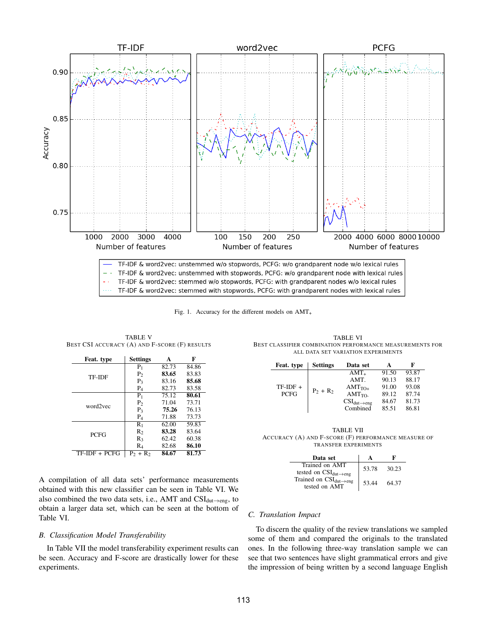

Fig. 1. Accuracy for the different models on  $AMT<sub>+</sub>$ 

TABLE V BEST CSI ACCURACY (A) AND F-SCORE (F) RESULTS

| Feat. type    | <b>Settings</b>    | A     | F     |
|---------------|--------------------|-------|-------|
|               | $P_1$              | 82.73 | 84.86 |
| <b>TF-IDF</b> | P <sub>2</sub>     | 83.65 | 83.83 |
|               | $P_3$              | 83.16 | 85.68 |
|               | $P_4$              | 82.73 | 83.58 |
| word2vec      | $P_1$              | 75.12 | 80.61 |
|               | P <sub>2</sub>     | 71.04 | 73.71 |
|               | $P_3$              | 75.26 | 76.13 |
|               | $P_4$              | 71.88 | 73.73 |
|               | $R_1$              | 62.00 | 59.83 |
| <b>PCFG</b>   | $R_2$              | 83.28 | 83.64 |
|               | $R_3$              | 62.42 | 60.38 |
|               | $\rm R_4$          | 82.68 | 86.10 |
| TF-IDF + PCFG | $P_2$ +<br>$R_{2}$ | 84.67 | 81.73 |

TABLE VI BEST CLASSIFIER COMBINATION PERFORMANCE MEASUREMENTS FOR ALL DATA SET VARIATION EXPERIMENTS

| Feat. type  | <b>Settings</b> | Data set                   |       | F     |
|-------------|-----------------|----------------------------|-------|-------|
|             |                 | $AMT_{+}$                  | 91.50 | 93.87 |
|             |                 | AMT.                       | 90.13 | 88.17 |
| $TF-IDF +$  | $P_2 + R_2$     | $AMT_{TO+}$                | 91.00 | 93.08 |
| <b>PCFG</b> |                 | $AMT_{TO}$                 | 89.12 | 87.74 |
|             |                 | $CSI_{dut\rightarrow eng}$ | 84.67 | 81.73 |
|             |                 | Combined                   | 85.51 | 86.81 |

TABLE VII ACCURACY (A) AND F-SCORE (F) PERFORMANCE MEASURE OF TRANSFER EXPERIMENTS

| Data set                                               |       | F     |
|--------------------------------------------------------|-------|-------|
| Trained on AMT<br>tested on CSI <sub>dut</sub> -eng    | 53.78 | 30.23 |
| Trained on $CSI_{dut\rightarrow eng}$<br>tested on AMT | 53.44 | 64.37 |

A compilation of all data sets' performance measurements obtained with this new classifier can be seen in Table VI. We also combined the two data sets, i.e., AMT and  $CSI_{\text{dut}\rightarrow\text{eng}}$ , to obtain a larger data set, which can be seen at the bottom of Table VI.

# *B. Classification Model Transferability*

In Table VII the model transferability experiment results can be seen. Accuracy and F-score are drastically lower for these experiments.

# *C. Translation Impact*

To discern the quality of the review translations we sampled some of them and compared the originals to the translated ones. In the following three-way translation sample we can see that two sentences have slight grammatical errors and give the impression of being written by a second language English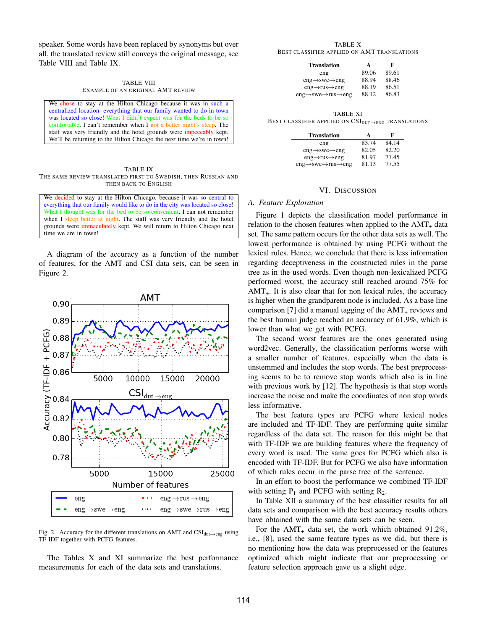speaker. Some words have been replaced by synonyms but over all, the translated review still conveys the original message, see Table VIII and Table IX.

|                                   | <b>TABLE VIII</b> |  |
|-----------------------------------|-------------------|--|
| EXAMPLE OF AN ORIGINAL AMT REVIEW |                   |  |

We chose to stay at the Hilton Chicago because it was in such a centralized location- everything that our family wanted to do in town was located so close! What I didn't expect was for the beds to be so comfortable. I can't remember when I got a better night's sleep. The staff was very friendly and the hotel grounds were impeccably kept. We'll be returning to the Hilton Chicago the next time we're in town!

TABLE IX THE SAME REVIEW TRANSLATED FIRST TO SWEDISH, THEN RUSSIAN AND THEN BACK TO ENGLISH

We decided to stay at the Hilton Chicago, because it was so central to everything that our family would like to do in the city was located so close! What I thought was for the bed to be so convenient. I can not remember when I sleep better at night. The staff was very friendly and the hotel grounds were immaculately kept. We will return to Hilton Chicago next time we are in town!

A diagram of the accuracy as a function of the number of features, for the AMT and CSI data sets, can be seen in Figure 2.



Fig. 2. Accuracy for the different translations on AMT and  $CSI_{\text{dut}\rightarrow\text{eng}}$  using TF-IDF together with PCFG features.

The Tables X and XI summarize the best performance measurements for each of the data sets and translations.

TABLE X BEST CLASSIFIER APPLIED ON AMT TRANSLATIONS

| <b>Translation</b>                                        | A     | F     |
|-----------------------------------------------------------|-------|-------|
| eng                                                       | 89.06 | 89.61 |
| $eng \rightarrow$ swe $\rightarrow$ eng                   | 88.94 | 88.46 |
| $eng \rightarrow rus \rightarrow eng$                     | 88.19 | 86.51 |
| $eng \rightarrow$ swe $\rightarrow$ rus $\rightarrow$ eng | 88.12 | 86.83 |

TABLE XI BEST CLASSIFIER APPLIED ON  $CSI_{DUT\rightarrow ENG}$  TRANSLATIONS

| <b>Translation</b>                                        | A     | F     |
|-----------------------------------------------------------|-------|-------|
| eng                                                       | 83.74 | 84.14 |
| $eng \rightarrow$ swe $\rightarrow$ eng                   | 82.05 | 82.20 |
| $eng \rightarrow rus \rightarrow eng$                     | 81.97 | 77.45 |
| $eng \rightarrow$ swe $\rightarrow$ rus $\rightarrow$ eng | 81.13 | 77.55 |

#### VI. DISCUSSION

#### *A. Feature Exploration*

Figure 1 depicts the classification model performance in relation to the chosen features when applied to the  $AMT_{+}$  data set. The same pattern occurs for the other data sets as well. The lowest performance is obtained by using PCFG without the lexical rules. Hence, we conclude that there is less information regarding deceptiveness in the constructed rules in the parse tree as in the used words. Even though non-lexicalized PCFG performed worst, the accuracy still reached around 75% for  $AMT_{+}$ . It is also clear that for non lexical rules, the accuracy is higher when the grandparent node is included. As a base line comparison [7] did a manual tagging of the  $AMT<sub>+</sub>$  reviews and the best human judge reached an accuracy of 61,9%, which is lower than what we get with PCFG.

The second worst features are the ones generated using word2vec. Generally, the classification performs worse with a smaller number of features, especially when the data is unstemmed and includes the stop words. The best preprocessing seems to be to remove stop words which also is in line with previous work by [12]. The hypothesis is that stop words increase the noise and make the coordinates of non stop words less informative.

The best feature types are PCFG where lexical nodes are included and TF-IDF. They are performing quite similar regardless of the data set. The reason for this might be that with TF-IDF we are building features where the frequency of every word is used. The same goes for PCFG which also is encoded with TF-IDF. But for PCFG we also have information of which rules occur in the parse tree of the sentence.

In an effort to boost the performance we combined TF-IDF with setting  $P_1$  and PCFG with setting  $R_2$ .

In Table XII a summary of the best classifier results for all data sets and comparison with the best accuracy results others have obtained with the same data sets can be seen.

For the  $AMT_+$  data set, the work which obtained 91.2%, i.e., [8], used the same feature types as we did, but there is no mentioning how the data was preprocessed or the features optimized which might indicate that our preprocessing or feature selection approach gave us a slight edge.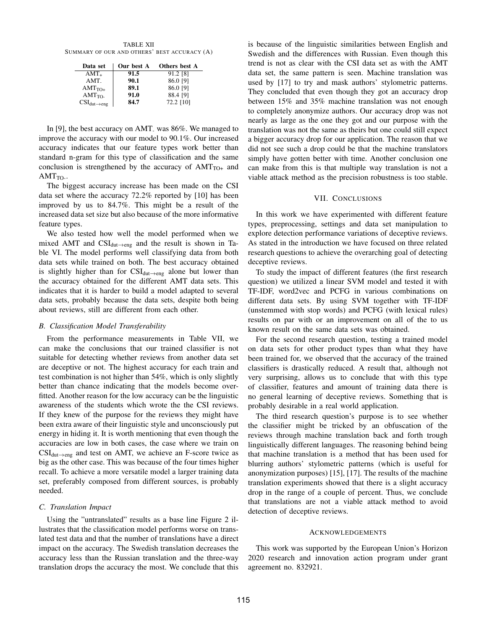TABLE XII SUMMARY OF OUR AND OTHERS' BEST ACCURACY (A)

| Data set                                        | Our best A | Others best A |
|-------------------------------------------------|------------|---------------|
| $AMT_{+}$                                       | 91.5       | 91.2 [8]      |
| AMT                                             | 90.1       | 86.0 [9]      |
| $AMT_{TO+}$                                     | 89.1       | 86.0 [9]      |
| $AMT_{TO}$                                      | 91.0       | 88.4 [9]      |
| $\text{CSI}_{\text{dut}\rightarrow \text{eng}}$ | 84.7       | 72.2 [10]     |

In [9], the best accuracy on AMT<sub>-</sub> was 86%. We managed to improve the accuracy with our model to 90.1%. Our increased accuracy indicates that our feature types work better than standard n-gram for this type of classification and the same conclusion is strengthened by the accuracy of  $AMT<sub>TO+</sub>$  and  $AMT_{TO}$ .

The biggest accuracy increase has been made on the CSI data set where the accuracy 72.2% reported by [10] has been improved by us to 84.7%. This might be a result of the increased data set size but also because of the more informative feature types.

We also tested how well the model performed when we mixed AMT and  $CSI_{\text{dut}\rightarrow\text{eng}}$  and the result is shown in Table VI. The model performs well classifying data from both data sets while trained on both. The best accuracy obtained is slightly higher than for  $CSI_{\text{dut}\rightarrow\text{eng}}$  alone but lower than the accuracy obtained for the different AMT data sets. This indicates that it is harder to build a model adapted to several data sets, probably because the data sets, despite both being about reviews, still are different from each other.

## *B. Classification Model Transferability*

From the performance measurements in Table VII, we can make the conclusions that our trained classifier is not suitable for detecting whether reviews from another data set are deceptive or not. The highest accuracy for each train and test combination is not higher than 54%, which is only slightly better than chance indicating that the models become overfitted. Another reason for the low accuracy can be the linguistic awareness of the students which wrote the the CSI reviews. If they knew of the purpose for the reviews they might have been extra aware of their linguistic style and unconsciously put energy in hiding it. It is worth mentioning that even though the accuracies are low in both cases, the case where we train on  $CSI_{\text{dut}\rightarrow\text{eng}}$  and test on AMT, we achieve an F-score twice as big as the other case. This was because of the four times higher recall. To achieve a more versatile model a larger training data set, preferably composed from different sources, is probably needed.

# *C. Translation Impact*

Using the "untranslated" results as a base line Figure 2 illustrates that the classification model performs worse on translated test data and that the number of translations have a direct impact on the accuracy. The Swedish translation decreases the accuracy less than the Russian translation and the three-way translation drops the accuracy the most. We conclude that this

is because of the linguistic similarities between English and Swedish and the differences with Russian. Even though this trend is not as clear with the CSI data set as with the AMT data set, the same pattern is seen. Machine translation was used by [17] to try and mask authors' stylometric patterns. They concluded that even though they got an accuracy drop between 15% and 35% machine translation was not enough to completely anonymize authors. Our accuracy drop was not nearly as large as the one they got and our purpose with the translation was not the same as theirs but one could still expect a bigger accuracy drop for our application. The reason that we did not see such a drop could be that the machine translators simply have gotten better with time. Another conclusion one can make from this is that multiple way translation is not a viable attack method as the precision robustness is too stable.

## VII. CONCLUSIONS

In this work we have experimented with different feature types, preprocessing, settings and data set manipulation to explore detection performance variations of deceptive reviews. As stated in the introduction we have focused on three related research questions to achieve the overarching goal of detecting deceptive reviews.

To study the impact of different features (the first research question) we utilized a linear SVM model and tested it with TF-IDF, word2vec and PCFG in various combinations on different data sets. By using SVM together with TF-IDF (unstemmed with stop words) and PCFG (with lexical rules) results on par with or an improvement on all of the to us known result on the same data sets was obtained.

For the second research question, testing a trained model on data sets for other product types than what they have been trained for, we observed that the accuracy of the trained classifiers is drastically reduced. A result that, although not very surprising, allows us to conclude that with this type of classifier, features and amount of training data there is no general learning of deceptive reviews. Something that is probably desirable in a real world application.

The third research question's purpose is to see whether the classifier might be tricked by an obfuscation of the reviews through machine translation back and forth trough linguistically different languages. The reasoning behind being that machine translation is a method that has been used for blurring authors' stylometric patterns (which is useful for anonymization purposes) [15], [17]. The results of the machine translation experiments showed that there is a slight accuracy drop in the range of a couple of percent. Thus, we conclude that translations are not a viable attack method to avoid detection of deceptive reviews.

## ACKNOWLEDGEMENTS

This work was supported by the European Union's Horizon 2020 research and innovation action program under grant agreement no. 832921.